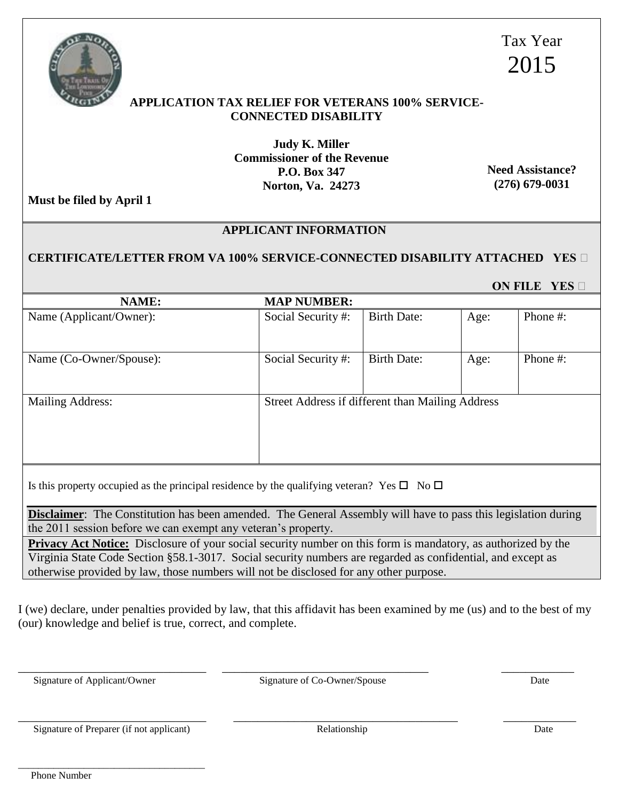\_\_\_\_\_\_\_\_\_\_\_\_\_\_\_\_\_\_\_\_\_\_\_\_\_\_\_\_\_\_\_\_\_\_\_\_\_ Phone Number

**APPLICATION TAX RELIEF FOR VETERANS 100% SERVICE-CONNECTED DISABILITY** 

> **Judy K. Miller Commissioner of the Revenue P.O. Box 347 Norton, Va. 24273**

**Need Assistance? (276) 679-0031**

**Must be filed by April 1**

## **APPLICANT INFORMATION**

## **CERTIFICATE/LETTER FROM VA 100% SERVICE-CONNECTED DISABILITY ATTACHED YES**

| <b>NAME:</b>                                                                                                                                                                          | <b>MAP NUMBER:</b>                               |                    |      |          |
|---------------------------------------------------------------------------------------------------------------------------------------------------------------------------------------|--------------------------------------------------|--------------------|------|----------|
| Name (Applicant/Owner):                                                                                                                                                               | Social Security#:                                | <b>Birth Date:</b> | Age: | Phone #: |
| Name (Co-Owner/Spouse):                                                                                                                                                               | Social Security #:                               | <b>Birth Date:</b> | Age: | Phone #: |
| <b>Mailing Address:</b>                                                                                                                                                               | Street Address if different than Mailing Address |                    |      |          |
| Is this property occupied as the principal residence by the qualifying veteran? Yes $\square$ No $\square$                                                                            |                                                  |                    |      |          |
| <b>Disclaimer:</b> The Constitution has been amended. The General Assembly will have to pass this legislation during<br>the 2011 session before we can exempt any veteran's property. |                                                  |                    |      |          |
| Drive or A of Notice: Disclesure of your social security number on this form is mendetowy as outhorized by the                                                                        |                                                  |                    |      |          |

**Privacy Act Notice:** Disclosure of your social security number on this form is mandatory, as authorized by the Virginia State Code Section §58.1-3017. Social security numbers are regarded as confidential, and except as otherwise provided by law, those numbers will not be disclosed for any other purpose.

I (we) declare, under penalties provided by law, that this affidavit has been examined by me (us) and to the best of my (our) knowledge and belief is true, correct, and complete.

\_\_\_\_\_\_\_\_\_\_\_\_\_\_\_\_\_\_\_\_\_\_\_\_\_\_\_\_\_\_\_ \_\_\_\_\_\_\_\_\_\_\_\_\_\_\_\_\_\_\_\_\_\_\_\_\_\_\_\_\_\_\_\_\_\_ \_\_\_\_\_\_\_\_\_\_\_\_

\_\_\_\_\_\_\_\_\_\_\_\_\_\_\_\_\_\_\_\_\_\_\_\_\_\_\_\_\_\_\_ \_\_\_\_\_\_\_\_\_\_\_\_\_\_\_\_\_\_\_\_\_\_\_\_\_\_\_\_\_\_\_\_\_\_\_\_\_ \_\_\_\_\_\_\_\_\_\_\_\_

Signature of Applicant/Owner Signature of Co-Owner/Spouse Date

Signature of Preparer (if not applicant) Relationship Date



Tax Year 2015

 **ON FILE YES**